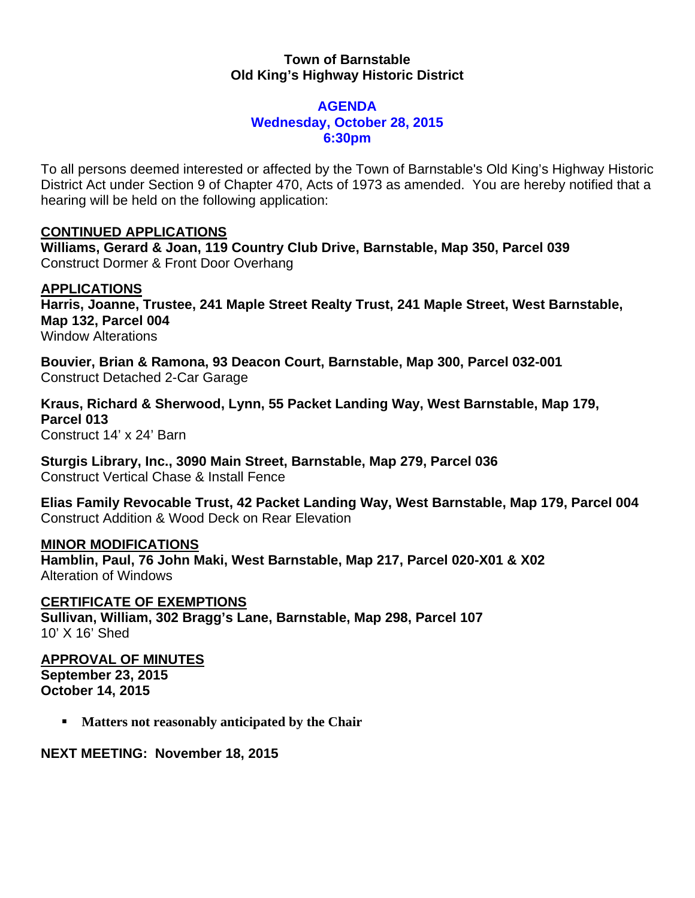## **Town of Barnstable Old King's Highway Historic District**

#### **AGENDA Wednesday, October 28, 2015 6:30pm**

To all persons deemed interested or affected by the Town of Barnstable's Old King's Highway Historic District Act under Section 9 of Chapter 470, Acts of 1973 as amended. You are hereby notified that a hearing will be held on the following application:

# **CONTINUED APPLICATIONS**

**Williams, Gerard & Joan, 119 Country Club Drive, Barnstable, Map 350, Parcel 039**  Construct Dormer & Front Door Overhang

# **APPLICATIONS**

**Harris, Joanne, Trustee, 241 Maple Street Realty Trust, 241 Maple Street, West Barnstable, Map 132, Parcel 004**  Window Alterations

**Bouvier, Brian & Ramona, 93 Deacon Court, Barnstable, Map 300, Parcel 032-001**  Construct Detached 2-Car Garage

**Kraus, Richard & Sherwood, Lynn, 55 Packet Landing Way, West Barnstable, Map 179, Parcel 013**  Construct 14' x 24' Barn

**Sturgis Library, Inc., 3090 Main Street, Barnstable, Map 279, Parcel 036**  Construct Vertical Chase & Install Fence

**Elias Family Revocable Trust, 42 Packet Landing Way, West Barnstable, Map 179, Parcel 004**  Construct Addition & Wood Deck on Rear Elevation

## **MINOR MODIFICATIONS**

**Hamblin, Paul, 76 John Maki, West Barnstable, Map 217, Parcel 020-X01 & X02**  Alteration of Windows

## **CERTIFICATE OF EXEMPTIONS**

**Sullivan, William, 302 Bragg's Lane, Barnstable, Map 298, Parcel 107**  10' X 16' Shed

# **APPROVAL OF MINUTES September 23, 2015**

**October 14, 2015** 

**Matters not reasonably anticipated by the Chair** 

**NEXT MEETING: November 18, 2015**